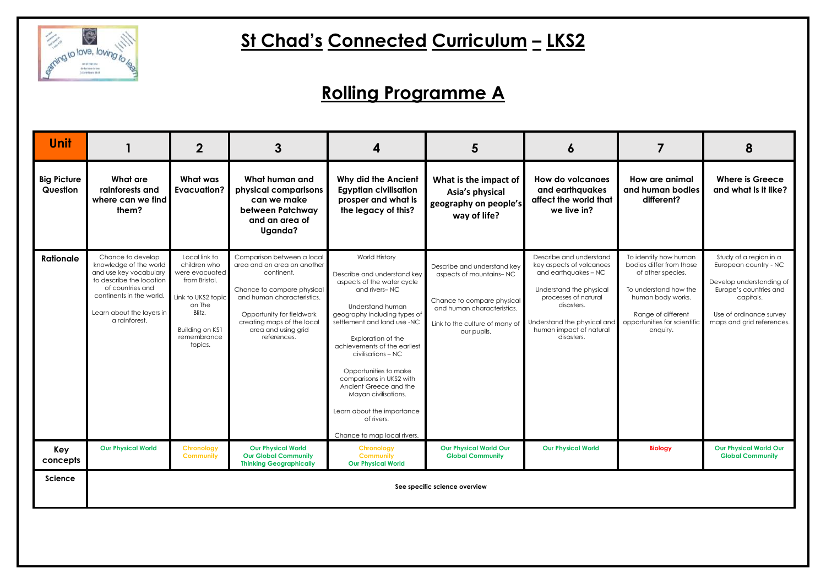

# **St Chad's Connected Curriculum – LKS2**

| <b>Unit</b>                    |                                                                                                                                                                                                 | $\mathbf{2}$                                                                                                                                            | 3                                                                                                                                                                                                                                    | 4                                                                                                                                                                                                                                                                                                                                                                                                                                                   | 5                                                                                                                                                                   | Ô                                                                                                                                                                                                                    |                                                                                                                                                                                        | 8                                                                                                                                                                          |
|--------------------------------|-------------------------------------------------------------------------------------------------------------------------------------------------------------------------------------------------|---------------------------------------------------------------------------------------------------------------------------------------------------------|--------------------------------------------------------------------------------------------------------------------------------------------------------------------------------------------------------------------------------------|-----------------------------------------------------------------------------------------------------------------------------------------------------------------------------------------------------------------------------------------------------------------------------------------------------------------------------------------------------------------------------------------------------------------------------------------------------|---------------------------------------------------------------------------------------------------------------------------------------------------------------------|----------------------------------------------------------------------------------------------------------------------------------------------------------------------------------------------------------------------|----------------------------------------------------------------------------------------------------------------------------------------------------------------------------------------|----------------------------------------------------------------------------------------------------------------------------------------------------------------------------|
| <b>Big Picture</b><br>Question | What are<br>rainforests and<br>where can we find<br>them?                                                                                                                                       | What was<br><b>Evacuation?</b>                                                                                                                          | What human and<br>physical comparisons<br>can we make<br>between Patchway<br>and an area of<br>Uganda?                                                                                                                               | <b>Why did the Ancient</b><br><b>Egyptian civilisation</b><br>prosper and what is<br>the legacy of this?                                                                                                                                                                                                                                                                                                                                            | What is the impact of<br>Asia's physical<br>geography on people's<br>way of life?                                                                                   | <b>How do volcanoes</b><br>and earthquakes<br>affect the world that<br>we live in?                                                                                                                                   | How are animal<br>and human bodies<br>different?                                                                                                                                       | <b>Where is Greece</b><br>and what is it like?                                                                                                                             |
| <b>Rationale</b>               | Chance to develop<br>knowledge of the world<br>and use key vocabulary<br>to describe the location<br>of countries and<br>continents in the world.<br>Learn about the layers in<br>a rainforest. | Local link to<br>children who<br>were evacuated<br>from Bristol.<br>Link to UKS2 topic<br>on The<br>Blitz.<br>Building on KS1<br>remembrance<br>topics. | Comparison between a local<br>area and an area on another<br>continent.<br>Chance to compare physical<br>and human characteristics.<br>Opportunity for fieldwork<br>creating maps of the local<br>area and using grid<br>references. | World History<br>Describe and understand key<br>aspects of the water cycle<br>and rivers-NC<br><b>Understand human</b><br>geography including types of<br>settlement and land use -NC<br>Exploration of the<br>achievements of the earliest<br>civilisations - NC<br>Opportunities to make<br>comparisons in UKS2 with<br>Ancient Greece and the<br>Mayan civilisations.<br>Learn about the importance<br>of rivers.<br>Chance to map local rivers. | Describe and understand key<br>aspects of mountains-NC<br>Chance to compare physical<br>and human characteristics.<br>Link to the culture of many of<br>our pupils. | Describe and understand<br>key aspects of volcanoes<br>and earthquakes – NC<br>Understand the physical<br>processes of natural<br>disasters.<br>Understand the physical and<br>human impact of natural<br>disasters. | To identify how human<br>bodies differ from those<br>of other species.<br>To understand how the<br>human body works.<br>Range of different<br>opportunities for scientific<br>enquiry. | Study of a region in a<br>European country - NC<br>Develop understanding of<br>Europe's countries and<br>capitals.<br>Use of ordinance survey<br>maps and grid references. |
| Key<br>concepts                | <b>Our Physical World</b>                                                                                                                                                                       | <b>Chronology</b><br><b>Community</b>                                                                                                                   | <b>Our Physical World</b><br><b>Our Global Community</b><br><b>Thinking Geographically</b>                                                                                                                                           | <b>Chronology</b><br><b>Community</b><br><b>Our Physical World</b>                                                                                                                                                                                                                                                                                                                                                                                  | <b>Our Physical World Our</b><br><b>Global Community</b>                                                                                                            | <b>Our Physical World</b>                                                                                                                                                                                            | <b>Biology</b>                                                                                                                                                                         | <b>Our Physical World Our</b><br><b>Global Community</b>                                                                                                                   |
| <b>Science</b>                 |                                                                                                                                                                                                 | See specific science overview                                                                                                                           |                                                                                                                                                                                                                                      |                                                                                                                                                                                                                                                                                                                                                                                                                                                     |                                                                                                                                                                     |                                                                                                                                                                                                                      |                                                                                                                                                                                        |                                                                                                                                                                            |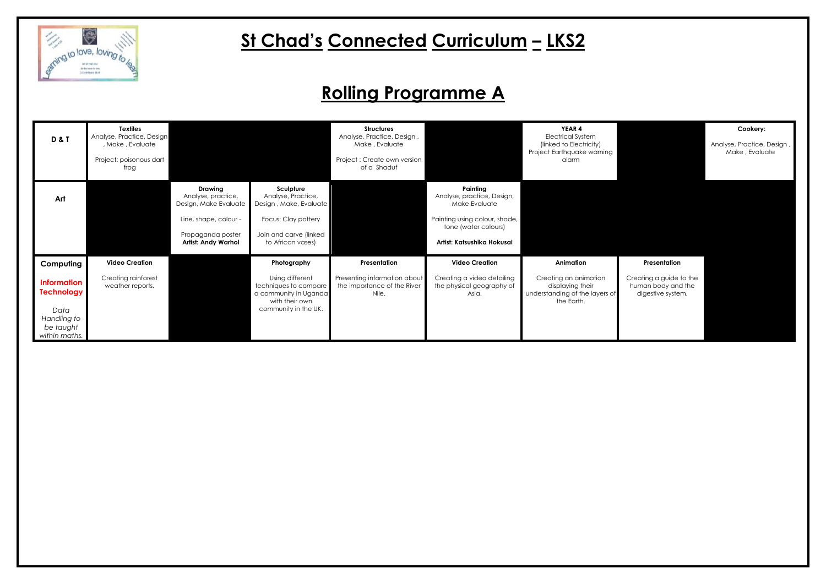

## **St Chad's Connected Curriculum – LKS2**

#### **Cookery:**

Analyse, Practice, Design , Make , Evaluate

| <b>D&amp;T</b>                                                              | <b>Textiles</b><br>Analyse, Practice, Design<br>, Make, Evaluate<br>Project: poisonous dart<br>frog |                                                                                                                                           |                                                                                                                                 | <b>Structures</b><br>Analyse, Practice, Design,<br>Make, Evaluate<br>Project: Create own version<br>of a Shaduf |                                                                                                                                                | <b>YEAR 4</b><br><b>Electrical System</b><br>(linked to Electricity)<br>Project Earthquake warning<br>alarm |
|-----------------------------------------------------------------------------|-----------------------------------------------------------------------------------------------------|-------------------------------------------------------------------------------------------------------------------------------------------|---------------------------------------------------------------------------------------------------------------------------------|-----------------------------------------------------------------------------------------------------------------|------------------------------------------------------------------------------------------------------------------------------------------------|-------------------------------------------------------------------------------------------------------------|
| Art                                                                         |                                                                                                     | <b>Drawing</b><br>Analyse, practice,<br>Design, Make Evaluate<br>Line, shape, colour -<br>Propaganda poster<br><b>Artist: Andy Warhol</b> | Sculpture<br>Analyse, Practice,<br>Design, Make, Evaluate<br>Focus: Clay pottery<br>Join and carve (linked<br>to African vases) |                                                                                                                 | Painting<br>Analyse, practice, Design,<br>Make Evaluate<br>Painting using colour, shade,<br>tone (water colours)<br>Artist: Katsushika Hokusai |                                                                                                             |
| Computing                                                                   | <b>Video Creation</b>                                                                               |                                                                                                                                           | Photography                                                                                                                     | Presentation                                                                                                    | <b>Video Creation</b>                                                                                                                          | Animation                                                                                                   |
| <b>Information</b><br><b>Technology</b><br>Data<br>Handling to<br>be taught | Creating rainforest<br>weather reports.                                                             |                                                                                                                                           | Using different<br>techniques to compare<br>a community in Uganda<br>with their own<br>community in the UK.                     | Presenting information about<br>the importance of the River<br>Nile.                                            | Creating a video detailing<br>the physical geography of<br>Asia.                                                                               | Creating an animation<br>displaying their<br>understanding of the layers of<br>the Earth.                   |
| within maths.                                                               |                                                                                                     |                                                                                                                                           |                                                                                                                                 |                                                                                                                 |                                                                                                                                                |                                                                                                             |

#### **Presentation**

Creating a guide to the human body and the digestive system.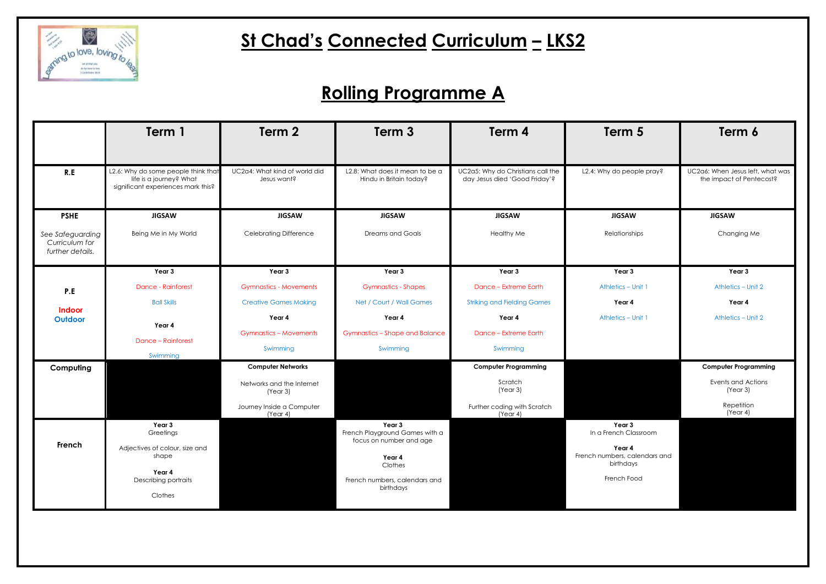

# **St Chad's Connected Curriculum – LKS2**

|                                                        | Term 1                                                                                               | Term 2                                       | Term 3                                                              | Term 4                                                             | Term 5                                               | Term 6                                                       |
|--------------------------------------------------------|------------------------------------------------------------------------------------------------------|----------------------------------------------|---------------------------------------------------------------------|--------------------------------------------------------------------|------------------------------------------------------|--------------------------------------------------------------|
| R.E                                                    | L2.6: Why do some people think that<br>life is a journey? What<br>significant experiences mark this? | UC2a4: What kind of world did<br>Jesus want? | L2.8: What does it mean to be a<br>Hindu in Britain today?          | UC2a5: Why do Christians call the<br>day Jesus died 'Good Friday'? | L2.4: Why do people pray?                            | UC2a6: When Jesus left, what was<br>the impact of Pentecost? |
| <b>PSHE</b>                                            | <b>JIGSAW</b>                                                                                        | <b>JIGSAW</b>                                | <b>JIGSAW</b>                                                       | <b>JIGSAW</b>                                                      | <b>JIGSAW</b>                                        | <b>JIGSAW</b>                                                |
| See Safeguarding<br>Curriculum for<br>further details. | Being Me in My World                                                                                 | <b>Celebrating Difference</b>                | <b>Dreams and Goals</b>                                             | <b>Healthy Me</b>                                                  | Relationships                                        | Changing Me                                                  |
|                                                        | Year 3                                                                                               | Year 3                                       | Year 3                                                              | Year 3                                                             | Year 3                                               | Year 3                                                       |
| P.E                                                    | <b>Dance - Rainforest</b>                                                                            | <b>Gymnastics - Movements</b>                | <b>Gymnastics - Shapes</b>                                          | Dance - Extreme Earth                                              | Athletics - Unit 1                                   | Athletics - Unit 2                                           |
| <b>Indoor</b>                                          | <b>Ball Skills</b>                                                                                   | <b>Creative Games Making</b>                 | Net / Court / Wall Games                                            | <b>Striking and Fielding Games</b>                                 | Year 4                                               | Year 4                                                       |
| Outdoor                                                | Year 4<br><b>Dance - Rainforest</b>                                                                  | Year 4                                       | Year 4                                                              | Year 4                                                             | Athletics - Unit 1                                   | Athletics - Unit 2                                           |
|                                                        |                                                                                                      | <b>Gymnastics - Movements</b>                | <b>Gymnastics - Shape and Balance</b>                               | <b>Dance - Extreme Earth</b>                                       |                                                      |                                                              |
|                                                        | Swimming                                                                                             | Swimming                                     | Swimming                                                            | Swimming                                                           |                                                      |                                                              |
| Computing                                              |                                                                                                      | <b>Computer Networks</b>                     |                                                                     | <b>Computer Programming</b>                                        |                                                      | <b>Computer Programming</b>                                  |
|                                                        |                                                                                                      | Networks and the Internet<br>(Year 3)        |                                                                     | Scratch<br>(Year 3)                                                |                                                      | Events and Actions<br>(Year 3)                               |
|                                                        |                                                                                                      | Journey Inside a Computer<br>(Year 4)        |                                                                     | Further coding with Scratch<br>(Year 4)                            |                                                      | Repetition<br>(Year 4)                                       |
| French                                                 | Year 3<br>Greetings                                                                                  |                                              | Year 3<br>French Playground Games with a<br>focus on number and age |                                                                    | Year 3<br>In a French Classroom                      |                                                              |
|                                                        | Adjectives of colour, size and<br>shape                                                              |                                              | Year 4<br>Clothes                                                   |                                                                    | Year 4<br>French numbers, calendars and<br>birthdays |                                                              |
|                                                        | Year 4<br>Describing portraits                                                                       |                                              | French numbers, calendars and<br>birthdays                          |                                                                    | French Food                                          |                                                              |
|                                                        | Clothes                                                                                              |                                              |                                                                     |                                                                    |                                                      |                                                              |